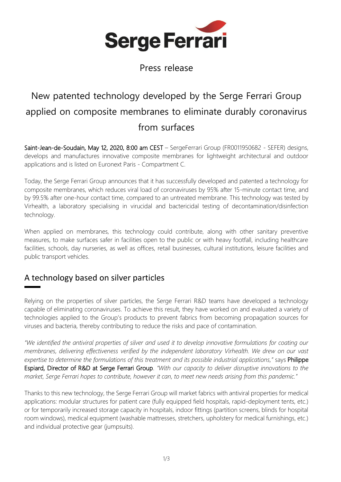

Press release

# New patented technology developed by the Serge Ferrari Group applied on composite membranes to eliminate durably coronavirus from surfaces

Saint-Jean-de-Soudain, May 12, 2020, 8:00 am CEST – SergeFerrari Group (FR0011950682 - SEFER) designs, develops and manufactures innovative composite membranes for lightweight architectural and outdoor applications and is listed on Euronext Paris - Compartment C.

Today, the Serge Ferrari Group announces that it has successfully developed and patented a technology for composite membranes, which reduces viral load of coronaviruses by 95% after 15-minute contact time, and by 99.5% after one-hour contact time, compared to an untreated membrane. This technology was tested by Virhealth, a laboratory specialising in virucidal and bactericidal testing of decontamination/disinfection technology.

When applied on membranes, this technology could contribute, along with other sanitary preventive measures, to make surfaces safer in facilities open to the public or with heavy footfall, including healthcare facilities, schools, day nurseries, as well as offices, retail businesses, cultural institutions, leisure facilities and public transport vehicles.

## A technology based on silver particles

Relying on the properties of silver particles, the Serge Ferrari R&D teams have developed a technology capable of eliminating coronaviruses. To achieve this result, they have worked on and evaluated a variety of technologies applied to the Group's products to prevent fabrics from becoming propagation sources for viruses and bacteria, thereby contributing to reduce the risks and pace of contamination.

*"We identified the antiviral properties of silver and used it to develop innovative formulations for coating our membranes, delivering effectiveness verified by the independent laboratory Virhealth. We drew on our vast expertise to determine the formulations of this treatment and its possible industrial applications,"* says Philippe Espiard, Director of R&D at Serge Ferrari Group. *"With our capacity to deliver disruptive innovations to the market, Serge Ferrari hopes to contribute, however it can, to meet new needs arising from this pandemic."*

Thanks to this new technology, the Serge Ferrari Group will market fabrics with antiviral properties for medical applications: modular structures for patient care (fully equipped field hospitals, rapid-deployment tents, etc.) or for temporarily increased storage capacity in hospitals, indoor fittings (partition screens, blinds for hospital room windows), medical equipment (washable mattresses, stretchers, upholstery for medical furnishings, etc.) and individual protective gear (jumpsuits).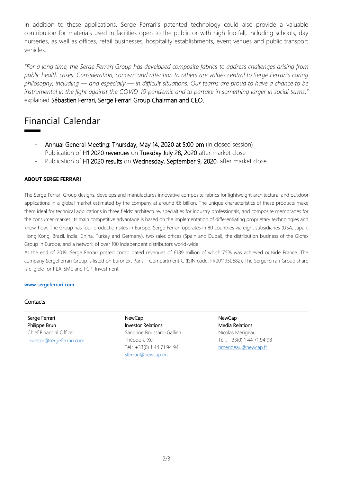In addition to these applications, Serge Ferrari's patented technology could also provide a valuable contribution for materials used in facilities open to the public or with high footfall, including schools, day nurseries, as well as offices, retail businesses, hospitality establishments, event venues and public transport vehicles.

*"For a long time, the Serge Ferrari Group has developed composite fabrics to address challenges arising from public health crises. Consideration, concern and attention to others are values central to Serge Ferrari's caring philosophy, including — and especially — in difficult situations. Our teams are proud to have a chance to be instrumental in the fight against the COVID-19 pandemic and to partake in something larger in social terms,"*  explained Sébastien Ferrari, Serge Ferrari Group Chairman and CEO.

# Financial Calendar

- Annual General Meeting: Thursday, May 14, 2020 at 5:00 pm (in closed session)
- Publication of H1 2020 revenues on Tuesday July 28, 2020 after market close
- Publication of H1 2020 results on Wednesday, September 9, 2020, after market close.

#### **ABOUT SERGE FERRARI**

The Serge Ferrari Group designs, develops and manufactures innovative composite fabrics for lightweight architectural and outdoor applications in a global market estimated by the company at around €6 billion. The unique characteristics of these products make them ideal for technical applications in three fields: architecture, specialties for industry professionals, and composite membranes for the consumer market. Its main competitive advantage is based on the implementation of differentiating proprietary technologies and know-how. The Group has four production sites in Europe. Serge Ferrari operates in 80 countries via eight subsidiaries (USA, Japan, Hong Kong, Brazil, India, China, Turkey and Germany), two sales offices (Spain and Dubai), the distribution business of the Giofex Group in Europe, and a network of over 100 independent distributors world-wide.

At the end of 2019, Serge Ferrari posted consolidated revenues of €189 million of which 75% was achieved outside France. The company SergeFerrari Group is listed on Euronext Paris – Compartment C (ISIN code: FR0011950682). The SergeFerrari Group share is eligible for PEA-SME and FCPI Investment.

#### **[www.sergeferrari.com](http://www.sergeferrari.com/)**

#### **Contacts**

Serge Ferrari Philippe Brun Chief Financial Officer [investor@sergeferrari.com](mailto:investor@sergeferrari.com) NewCap Investor Relations Sandrine Boussard-Gallien Théodora Xu Tél.: +33(0) 1 44 71 94 94 [sferrari@newcap.eu](mailto:sferrari@newcap.eu)

NewCap Media Relations Nicolas Mérigeau Tél.: +33(0) 1 44 71 94 98 [nmerigeau@newcap.fr](mailto:nmerigeau@newcap.fr)